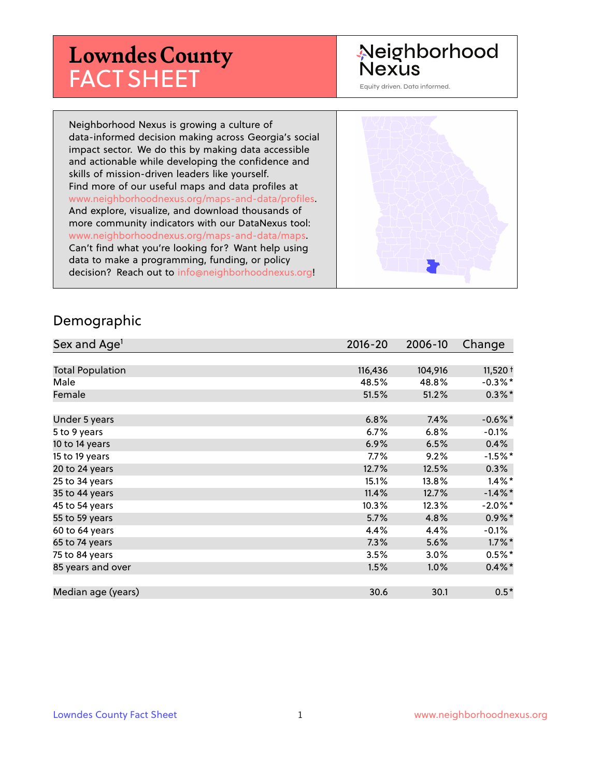# **Lowndes County** FACT SHEET

## Neighborhood **Nexus**

Equity driven. Data informed.

Neighborhood Nexus is growing a culture of data-informed decision making across Georgia's social impact sector. We do this by making data accessible and actionable while developing the confidence and skills of mission-driven leaders like yourself. Find more of our useful maps and data profiles at www.neighborhoodnexus.org/maps-and-data/profiles. And explore, visualize, and download thousands of more community indicators with our DataNexus tool: www.neighborhoodnexus.org/maps-and-data/maps. Can't find what you're looking for? Want help using data to make a programming, funding, or policy decision? Reach out to [info@neighborhoodnexus.org!](mailto:info@neighborhoodnexus.org)



#### Demographic

| Sex and Age <sup>1</sup> | $2016 - 20$ | 2006-10 | Change     |
|--------------------------|-------------|---------|------------|
|                          |             |         |            |
| <b>Total Population</b>  | 116,436     | 104,916 | $11,520+$  |
| Male                     | 48.5%       | 48.8%   | $-0.3\%$ * |
| Female                   | 51.5%       | 51.2%   | $0.3\%$ *  |
|                          |             |         |            |
| Under 5 years            | 6.8%        | 7.4%    | $-0.6\%$ * |
| 5 to 9 years             | $6.7\%$     | 6.8%    | $-0.1\%$   |
| 10 to 14 years           | 6.9%        | 6.5%    | $0.4\%$    |
| 15 to 19 years           | 7.7%        | 9.2%    | $-1.5%$ *  |
| 20 to 24 years           | 12.7%       | 12.5%   | 0.3%       |
| 25 to 34 years           | 15.1%       | 13.8%   | $1.4\%$ *  |
| 35 to 44 years           | 11.4%       | 12.7%   | $-1.4\%$ * |
| 45 to 54 years           | 10.3%       | 12.3%   | $-2.0\%$ * |
| 55 to 59 years           | 5.7%        | 4.8%    | $0.9\%$ *  |
| 60 to 64 years           | 4.4%        | 4.4%    | $-0.1\%$   |
| 65 to 74 years           | 7.3%        | 5.6%    | $1.7\%$ *  |
| 75 to 84 years           | 3.5%        | 3.0%    | $0.5%$ *   |
| 85 years and over        | 1.5%        | 1.0%    | $0.4\%$ *  |
|                          |             |         |            |
| Median age (years)       | 30.6        | 30.1    | $0.5*$     |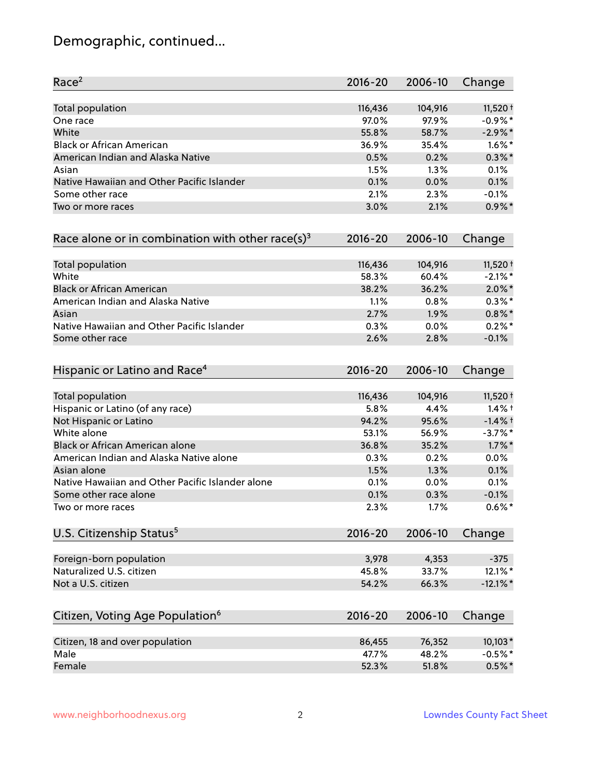## Demographic, continued...

| Race <sup>2</sup>                                            | $2016 - 20$ | 2006-10 | Change      |
|--------------------------------------------------------------|-------------|---------|-------------|
| <b>Total population</b>                                      | 116,436     | 104,916 | 11,520 +    |
| One race                                                     | 97.0%       | 97.9%   | $-0.9%$ *   |
| White                                                        | 55.8%       | 58.7%   | $-2.9\%$ *  |
| <b>Black or African American</b>                             | 36.9%       | 35.4%   | $1.6\%$ *   |
| American Indian and Alaska Native                            | 0.5%        | 0.2%    | $0.3\%$ *   |
| Asian                                                        | 1.5%        | 1.3%    | 0.1%        |
| Native Hawaiian and Other Pacific Islander                   | 0.1%        | 0.0%    | 0.1%        |
| Some other race                                              | 2.1%        | 2.3%    | $-0.1%$     |
| Two or more races                                            | 3.0%        | 2.1%    | $0.9\%$ *   |
| Race alone or in combination with other race(s) <sup>3</sup> | $2016 - 20$ | 2006-10 | Change      |
| Total population                                             | 116,436     | 104,916 | 11,520 +    |
| White                                                        | 58.3%       | 60.4%   | $-2.1\%$ *  |
| <b>Black or African American</b>                             | 38.2%       | 36.2%   | $2.0\%$ *   |
| American Indian and Alaska Native                            | 1.1%        | 0.8%    | $0.3\%*$    |
| Asian                                                        | 2.7%        | 1.9%    | $0.8\%$ *   |
| Native Hawaiian and Other Pacific Islander                   | 0.3%        | 0.0%    | $0.2%$ *    |
| Some other race                                              | 2.6%        | 2.8%    | $-0.1%$     |
| Hispanic or Latino and Race <sup>4</sup>                     | $2016 - 20$ | 2006-10 | Change      |
| Total population                                             | 116,436     | 104,916 | $11,520 +$  |
| Hispanic or Latino (of any race)                             | 5.8%        | 4.4%    | $1.4\%$ †   |
| Not Hispanic or Latino                                       | 94.2%       | 95.6%   | $-1.4%$ †   |
| White alone                                                  | 53.1%       | 56.9%   | $-3.7%$ *   |
| Black or African American alone                              | 36.8%       | 35.2%   | $1.7\%$ *   |
| American Indian and Alaska Native alone                      | 0.3%        | 0.2%    | 0.0%        |
| Asian alone                                                  | 1.5%        | 1.3%    | 0.1%        |
| Native Hawaiian and Other Pacific Islander alone             | 0.1%        | 0.0%    | 0.1%        |
| Some other race alone                                        | 0.1%        | 0.3%    | $-0.1%$     |
| Two or more races                                            | 2.3%        | 1.7%    | $0.6\%$ *   |
| U.S. Citizenship Status <sup>5</sup>                         | $2016 - 20$ | 2006-10 | Change      |
| Foreign-born population                                      | 3,978       | 4,353   | $-375$      |
| Naturalized U.S. citizen                                     | 45.8%       | 33.7%   | 12.1%*      |
| Not a U.S. citizen                                           | 54.2%       | 66.3%   | $-12.1\%$ * |
| Citizen, Voting Age Population <sup>6</sup>                  | $2016 - 20$ | 2006-10 | Change      |
|                                                              |             |         |             |
| Citizen, 18 and over population                              | 86,455      | 76,352  | $10,103*$   |
| Male                                                         | 47.7%       | 48.2%   | $-0.5%$ *   |
| Female                                                       | 52.3%       | 51.8%   | $0.5%$ *    |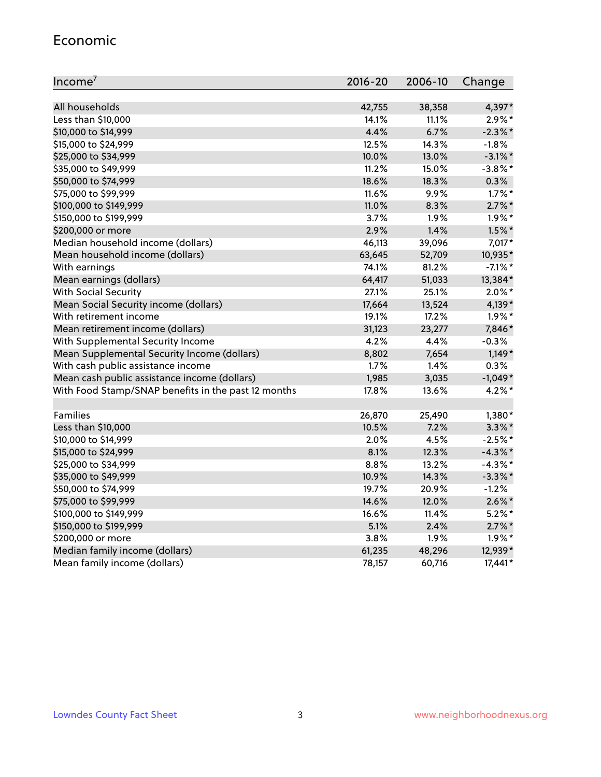#### Economic

| Income <sup>7</sup>                                 | $2016 - 20$ | 2006-10 | Change     |
|-----------------------------------------------------|-------------|---------|------------|
|                                                     |             |         |            |
| All households                                      | 42,755      | 38,358  | 4,397*     |
| Less than \$10,000                                  | 14.1%       | 11.1%   | $2.9\%*$   |
| \$10,000 to \$14,999                                | 4.4%        | 6.7%    | $-2.3\%$ * |
| \$15,000 to \$24,999                                | 12.5%       | 14.3%   | $-1.8%$    |
| \$25,000 to \$34,999                                | 10.0%       | 13.0%   | $-3.1\%$ * |
| \$35,000 to \$49,999                                | 11.2%       | 15.0%   | $-3.8\%$ * |
| \$50,000 to \$74,999                                | 18.6%       | 18.3%   | 0.3%       |
| \$75,000 to \$99,999                                | 11.6%       | 9.9%    | $1.7\%$ *  |
| \$100,000 to \$149,999                              | 11.0%       | 8.3%    | $2.7\%$ *  |
| \$150,000 to \$199,999                              | 3.7%        | 1.9%    | $1.9\%$ *  |
| \$200,000 or more                                   | 2.9%        | 1.4%    | $1.5\%$ *  |
| Median household income (dollars)                   | 46,113      | 39,096  | 7,017*     |
| Mean household income (dollars)                     | 63,645      | 52,709  | 10,935*    |
| With earnings                                       | 74.1%       | 81.2%   | $-7.1\%$ * |
| Mean earnings (dollars)                             | 64,417      | 51,033  | 13,384*    |
| <b>With Social Security</b>                         | 27.1%       | 25.1%   | $2.0\%$ *  |
| Mean Social Security income (dollars)               | 17,664      | 13,524  | 4,139*     |
| With retirement income                              | 19.1%       | 17.2%   | $1.9\%$ *  |
| Mean retirement income (dollars)                    | 31,123      | 23,277  | 7,846*     |
| With Supplemental Security Income                   | 4.2%        | 4.4%    | $-0.3%$    |
| Mean Supplemental Security Income (dollars)         | 8,802       | 7,654   | $1,149*$   |
| With cash public assistance income                  | 1.7%        | 1.4%    | 0.3%       |
| Mean cash public assistance income (dollars)        | 1,985       | 3,035   | $-1,049*$  |
| With Food Stamp/SNAP benefits in the past 12 months | 17.8%       | 13.6%   | $4.2\%$ *  |
|                                                     |             |         |            |
| Families                                            | 26,870      | 25,490  | 1,380*     |
| Less than \$10,000                                  | 10.5%       | 7.2%    | $3.3\%$ *  |
| \$10,000 to \$14,999                                | 2.0%        | 4.5%    | $-2.5%$ *  |
| \$15,000 to \$24,999                                | 8.1%        | 12.3%   | $-4.3\%$ * |
| \$25,000 to \$34,999                                | 8.8%        | 13.2%   | $-4.3\%$ * |
| \$35,000 to \$49,999                                | 10.9%       | 14.3%   | $-3.3\%$ * |
| \$50,000 to \$74,999                                | 19.7%       | 20.9%   | $-1.2%$    |
| \$75,000 to \$99,999                                | 14.6%       | 12.0%   | $2.6\%$ *  |
| \$100,000 to \$149,999                              | 16.6%       | 11.4%   | $5.2\%$ *  |
| \$150,000 to \$199,999                              | 5.1%        | 2.4%    | $2.7\%$ *  |
| \$200,000 or more                                   | 3.8%        | 1.9%    | $1.9\%$ *  |
| Median family income (dollars)                      | 61,235      | 48,296  | 12,939*    |
| Mean family income (dollars)                        | 78,157      | 60,716  | 17,441*    |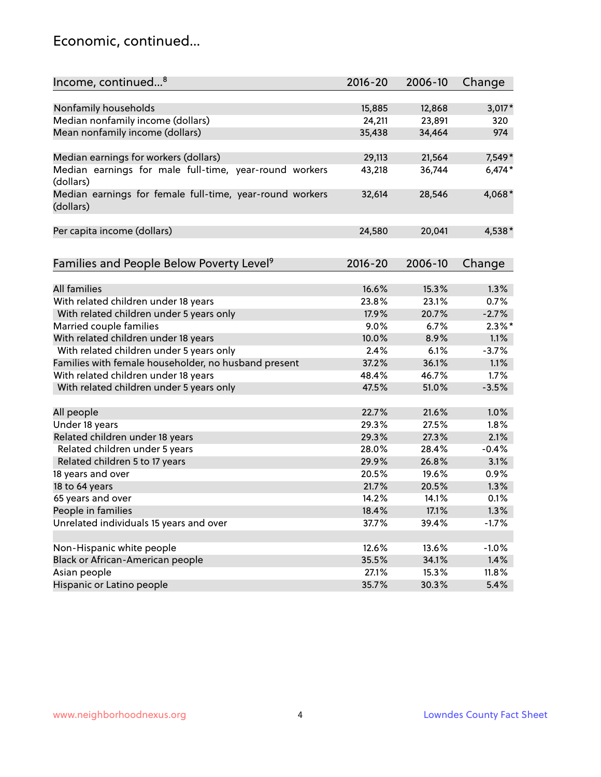#### Economic, continued...

| Income, continued <sup>8</sup>                                        | $2016 - 20$ | 2006-10 | Change    |
|-----------------------------------------------------------------------|-------------|---------|-----------|
|                                                                       |             |         |           |
| Nonfamily households                                                  | 15,885      | 12,868  | $3,017*$  |
| Median nonfamily income (dollars)                                     | 24,211      | 23,891  | 320       |
| Mean nonfamily income (dollars)                                       | 35,438      | 34,464  | 974       |
| Median earnings for workers (dollars)                                 | 29,113      | 21,564  | 7,549*    |
| Median earnings for male full-time, year-round workers                | 43,218      | 36,744  | $6,474*$  |
| (dollars)                                                             |             |         |           |
| Median earnings for female full-time, year-round workers<br>(dollars) | 32,614      | 28,546  | 4,068*    |
| Per capita income (dollars)                                           | 24,580      | 20,041  | 4,538*    |
|                                                                       |             |         |           |
| Families and People Below Poverty Level <sup>9</sup>                  | $2016 - 20$ | 2006-10 | Change    |
|                                                                       |             |         |           |
| <b>All families</b>                                                   | 16.6%       | 15.3%   | 1.3%      |
| With related children under 18 years                                  | 23.8%       | 23.1%   | 0.7%      |
| With related children under 5 years only                              | 17.9%       | 20.7%   | $-2.7%$   |
| Married couple families                                               | 9.0%        | 6.7%    | $2.3\%$ * |
| With related children under 18 years                                  | 10.0%       | 8.9%    | 1.1%      |
| With related children under 5 years only                              | 2.4%        | 6.1%    | $-3.7%$   |
| Families with female householder, no husband present                  | 37.2%       | 36.1%   | 1.1%      |
| With related children under 18 years                                  | 48.4%       | 46.7%   | 1.7%      |
| With related children under 5 years only                              | 47.5%       | 51.0%   | $-3.5%$   |
| All people                                                            | 22.7%       | 21.6%   | 1.0%      |
| Under 18 years                                                        | 29.3%       | 27.5%   | 1.8%      |
| Related children under 18 years                                       | 29.3%       | 27.3%   | 2.1%      |
| Related children under 5 years                                        | 28.0%       | 28.4%   | $-0.4%$   |
| Related children 5 to 17 years                                        | 29.9%       | 26.8%   | 3.1%      |
| 18 years and over                                                     | 20.5%       | 19.6%   | 0.9%      |
| 18 to 64 years                                                        | 21.7%       | 20.5%   | 1.3%      |
| 65 years and over                                                     | 14.2%       | 14.1%   | 0.1%      |
| People in families                                                    | 18.4%       | 17.1%   | 1.3%      |
| Unrelated individuals 15 years and over                               | 37.7%       | 39.4%   | $-1.7%$   |
|                                                                       |             |         |           |
| Non-Hispanic white people                                             | 12.6%       | 13.6%   | $-1.0%$   |
| Black or African-American people                                      | 35.5%       | 34.1%   | 1.4%      |
| Asian people                                                          | 27.1%       | 15.3%   | 11.8%     |
| Hispanic or Latino people                                             | 35.7%       | 30.3%   | 5.4%      |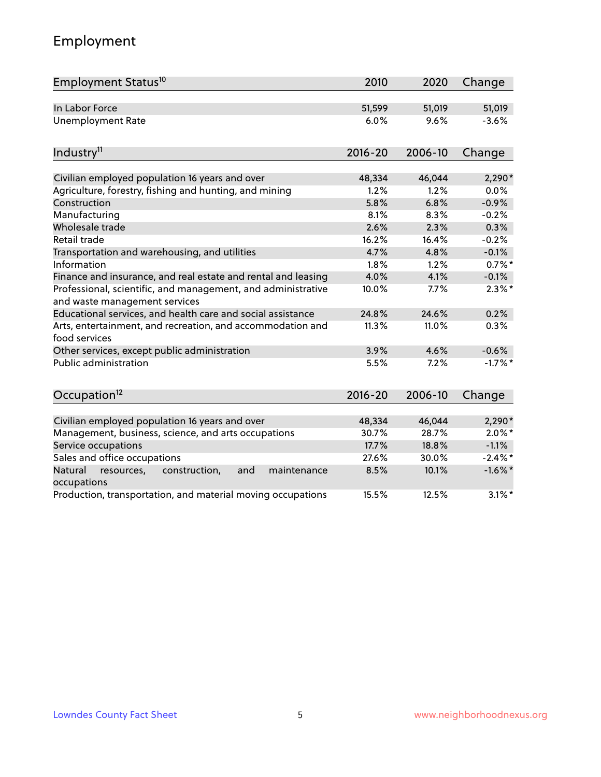## Employment

| Employment Status <sup>10</sup>                                                               | 2010        | 2020    | Change     |
|-----------------------------------------------------------------------------------------------|-------------|---------|------------|
| In Labor Force                                                                                | 51,599      | 51,019  | 51,019     |
| <b>Unemployment Rate</b>                                                                      | 6.0%        | 9.6%    | $-3.6%$    |
| Industry <sup>11</sup>                                                                        | $2016 - 20$ | 2006-10 | Change     |
|                                                                                               |             |         |            |
| Civilian employed population 16 years and over                                                | 48,334      | 46,044  | $2,290*$   |
| Agriculture, forestry, fishing and hunting, and mining                                        | 1.2%        | 1.2%    | 0.0%       |
| Construction                                                                                  | 5.8%        | 6.8%    | $-0.9%$    |
| Manufacturing                                                                                 | 8.1%        | 8.3%    | $-0.2%$    |
| Wholesale trade                                                                               | 2.6%        | 2.3%    | 0.3%       |
| Retail trade                                                                                  | 16.2%       | 16.4%   | $-0.2%$    |
| Transportation and warehousing, and utilities                                                 | 4.7%        | 4.8%    | $-0.1%$    |
| Information                                                                                   | 1.8%        | 1.2%    | $0.7%$ *   |
| Finance and insurance, and real estate and rental and leasing                                 | 4.0%        | 4.1%    | $-0.1%$    |
| Professional, scientific, and management, and administrative<br>and waste management services | 10.0%       | 7.7%    | $2.3\%$ *  |
| Educational services, and health care and social assistance                                   | 24.8%       | 24.6%   | 0.2%       |
| Arts, entertainment, and recreation, and accommodation and<br>food services                   | 11.3%       | 11.0%   | 0.3%       |
| Other services, except public administration                                                  | 3.9%        | 4.6%    | $-0.6%$    |
| <b>Public administration</b>                                                                  | 5.5%        | 7.2%    | $-1.7%$ *  |
| Occupation <sup>12</sup>                                                                      | $2016 - 20$ | 2006-10 | Change     |
|                                                                                               |             |         |            |
| Civilian employed population 16 years and over                                                | 48,334      | 46,044  | $2,290*$   |
| Management, business, science, and arts occupations                                           | 30.7%       | 28.7%   | $2.0\%$ *  |
| Service occupations                                                                           | 17.7%       | 18.8%   | $-1.1%$    |
| Sales and office occupations                                                                  | 27.6%       | 30.0%   | $-2.4\%$ * |
| Natural<br>resources,<br>construction,<br>and<br>maintenance<br>occupations                   | 8.5%        | 10.1%   | $-1.6\%$ * |
| Production, transportation, and material moving occupations                                   | 15.5%       | 12.5%   | $3.1\%$ *  |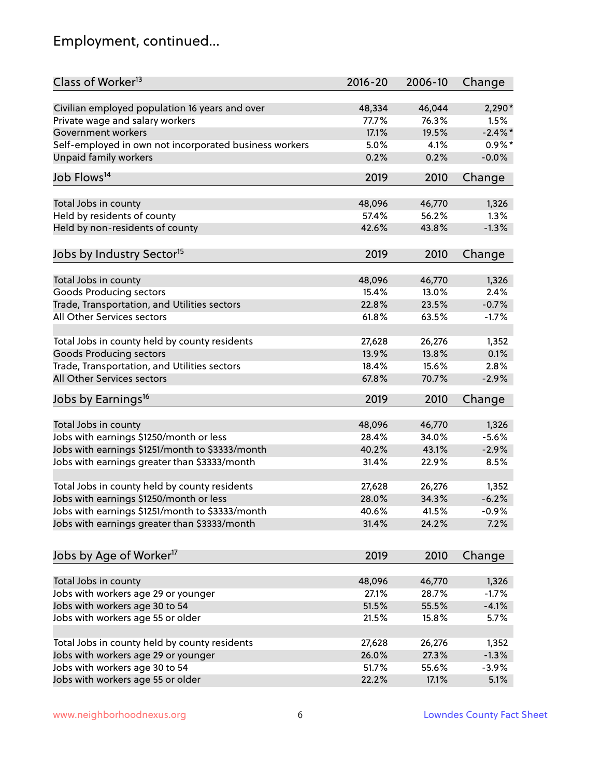## Employment, continued...

| Class of Worker <sup>13</sup>                          | $2016 - 20$ | 2006-10         | Change        |
|--------------------------------------------------------|-------------|-----------------|---------------|
| Civilian employed population 16 years and over         | 48,334      | 46,044          | 2,290*        |
| Private wage and salary workers                        | 77.7%       | 76.3%           | 1.5%          |
| Government workers                                     | 17.1%       | 19.5%           | $-2.4\%$ *    |
| Self-employed in own not incorporated business workers | 5.0%        | 4.1%            | $0.9\%*$      |
| <b>Unpaid family workers</b>                           | 0.2%        | 0.2%            | $-0.0%$       |
| Job Flows <sup>14</sup>                                | 2019        | 2010            | Change        |
|                                                        |             |                 |               |
| Total Jobs in county                                   | 48,096      | 46,770<br>56.2% | 1,326<br>1.3% |
| Held by residents of county                            | 57.4%       |                 |               |
| Held by non-residents of county                        | 42.6%       | 43.8%           | $-1.3%$       |
| Jobs by Industry Sector <sup>15</sup>                  | 2019        | 2010            | Change        |
| Total Jobs in county                                   | 48,096      | 46,770          | 1,326         |
| <b>Goods Producing sectors</b>                         | 15.4%       | 13.0%           | 2.4%          |
| Trade, Transportation, and Utilities sectors           | 22.8%       | 23.5%           | $-0.7%$       |
| All Other Services sectors                             | 61.8%       | 63.5%           | $-1.7%$       |
|                                                        |             |                 |               |
| Total Jobs in county held by county residents          | 27,628      | 26,276          | 1,352         |
| <b>Goods Producing sectors</b>                         | 13.9%       | 13.8%           | 0.1%          |
| Trade, Transportation, and Utilities sectors           | 18.4%       | 15.6%           | 2.8%          |
| All Other Services sectors                             | 67.8%       | 70.7%           | $-2.9%$       |
| Jobs by Earnings <sup>16</sup>                         | 2019        | 2010            | Change        |
| Total Jobs in county                                   | 48,096      | 46,770          | 1,326         |
| Jobs with earnings \$1250/month or less                | 28.4%       | 34.0%           | $-5.6%$       |
| Jobs with earnings \$1251/month to \$3333/month        | 40.2%       | 43.1%           | $-2.9%$       |
|                                                        | 31.4%       |                 |               |
| Jobs with earnings greater than \$3333/month           |             | 22.9%           | 8.5%          |
| Total Jobs in county held by county residents          | 27,628      | 26,276          | 1,352         |
| Jobs with earnings \$1250/month or less                | 28.0%       | 34.3%           | $-6.2%$       |
| Jobs with earnings \$1251/month to \$3333/month        | 40.6%       | 41.5%           | $-0.9\%$      |
| Jobs with earnings greater than \$3333/month           | 31.4%       | 24.2%           | 7.2%          |
| Jobs by Age of Worker <sup>17</sup>                    | 2019        | 2010            | Change        |
|                                                        |             |                 |               |
| Total Jobs in county                                   | 48,096      | 46,770          | 1,326         |
| Jobs with workers age 29 or younger                    | 27.1%       | 28.7%           | $-1.7%$       |
| Jobs with workers age 30 to 54                         | 51.5%       | 55.5%           | $-4.1%$       |
| Jobs with workers age 55 or older                      | 21.5%       | 15.8%           | 5.7%          |
|                                                        |             |                 |               |
| Total Jobs in county held by county residents          | 27,628      | 26,276          | 1,352         |
| Jobs with workers age 29 or younger                    | 26.0%       | 27.3%           | $-1.3%$       |
| Jobs with workers age 30 to 54                         | 51.7%       | 55.6%           | $-3.9%$       |
| Jobs with workers age 55 or older                      | 22.2%       | 17.1%           | 5.1%          |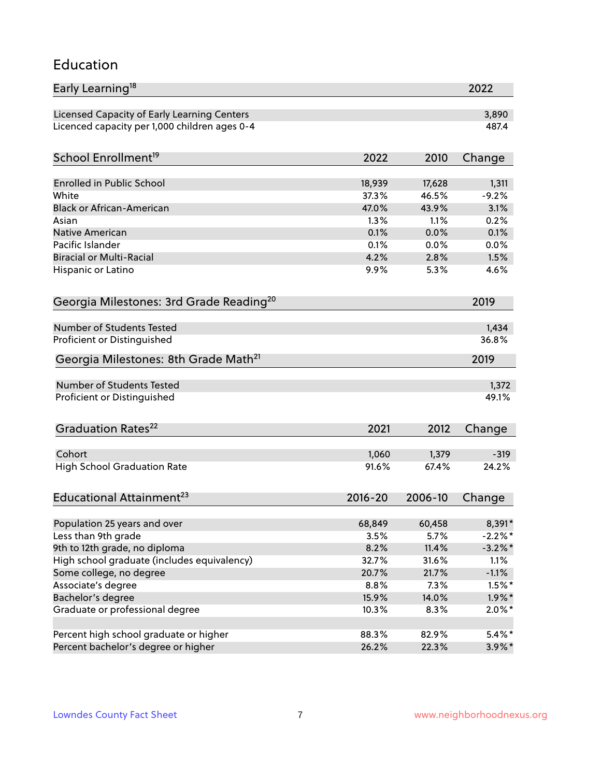#### Education

| Early Learning <sup>18</sup>                        |               |               | 2022         |
|-----------------------------------------------------|---------------|---------------|--------------|
| Licensed Capacity of Early Learning Centers         |               |               | 3,890        |
| Licenced capacity per 1,000 children ages 0-4       |               |               | 487.4        |
| School Enrollment <sup>19</sup>                     | 2022          | 2010          | Change       |
|                                                     |               |               |              |
| <b>Enrolled in Public School</b>                    | 18,939        | 17,628        | 1,311        |
| White                                               | 37.3%         | 46.5%         | $-9.2%$      |
| <b>Black or African-American</b>                    | 47.0%<br>1.3% | 43.9%<br>1.1% | 3.1%<br>0.2% |
| Asian                                               | 0.1%          |               |              |
| Native American<br>Pacific Islander                 |               | 0.0%          | 0.1%         |
| <b>Biracial or Multi-Racial</b>                     | 0.1%<br>4.2%  | 0.0%<br>2.8%  | 0.0%<br>1.5% |
|                                                     |               |               |              |
| Hispanic or Latino                                  | $9.9\%$       | 5.3%          | 4.6%         |
| Georgia Milestones: 3rd Grade Reading <sup>20</sup> |               |               | 2019         |
|                                                     |               |               |              |
| Number of Students Tested                           |               |               | 1,434        |
| Proficient or Distinguished                         |               |               | 36.8%        |
| Georgia Milestones: 8th Grade Math <sup>21</sup>    |               |               | 2019         |
| Number of Students Tested                           |               |               | 1,372        |
| Proficient or Distinguished                         |               |               | 49.1%        |
| Graduation Rates <sup>22</sup>                      | 2021          | 2012          | Change       |
|                                                     |               |               |              |
| Cohort                                              | 1,060         | 1,379         | $-319$       |
| <b>High School Graduation Rate</b>                  | 91.6%         | 67.4%         | 24.2%        |
| Educational Attainment <sup>23</sup>                | $2016 - 20$   | 2006-10       | Change       |
|                                                     |               |               |              |
| Population 25 years and over                        | 68,849        | 60,458        | 8,391*       |
| Less than 9th grade                                 | 3.5%          | 5.7%          | $-2.2\%$ *   |
| 9th to 12th grade, no diploma                       | 8.2%          | 11.4%         | $-3.2\%$ *   |
| High school graduate (includes equivalency)         | 32.7%         | 31.6%         | 1.1%         |
| Some college, no degree                             | 20.7%         | 21.7%         | $-1.1%$      |
| Associate's degree                                  | 8.8%          | 7.3%          | $1.5\%$ *    |
| Bachelor's degree                                   | 15.9%         | 14.0%         | $1.9\%$ *    |
| Graduate or professional degree                     | 10.3%         | 8.3%          | $2.0\%$ *    |
|                                                     |               |               |              |
| Percent high school graduate or higher              | 88.3%         | 82.9%         | $5.4\%$ *    |
| Percent bachelor's degree or higher                 | 26.2%         | 22.3%         | $3.9\%$ *    |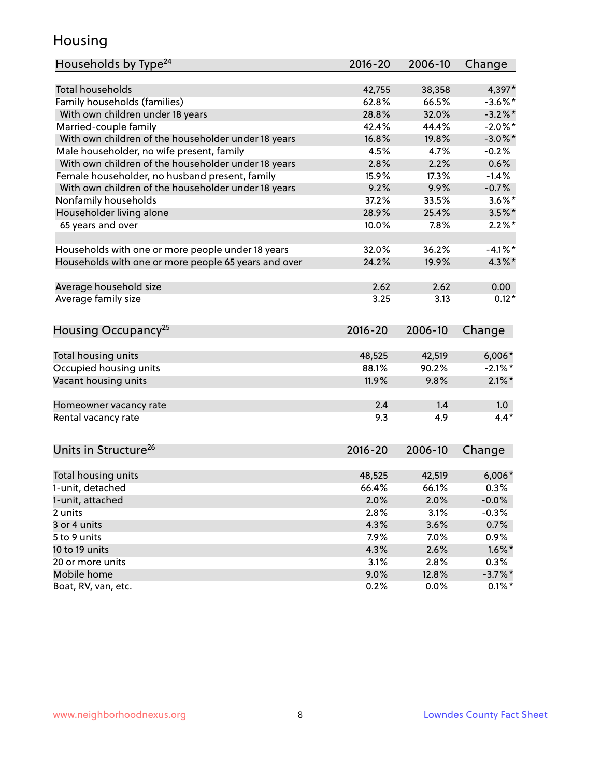#### Housing

| Households by Type <sup>24</sup>                     | 2016-20     | 2006-10 | Change           |
|------------------------------------------------------|-------------|---------|------------------|
|                                                      |             |         |                  |
| <b>Total households</b>                              | 42,755      | 38,358  | 4,397*           |
| Family households (families)                         | 62.8%       | 66.5%   | $-3.6\%$ *       |
| With own children under 18 years                     | 28.8%       | 32.0%   | $-3.2\%$ *       |
| Married-couple family                                | 42.4%       | 44.4%   | $-2.0\%$ *       |
| With own children of the householder under 18 years  | 16.8%       | 19.8%   | $-3.0\%$ *       |
| Male householder, no wife present, family            | 4.5%        | 4.7%    | $-0.2%$          |
| With own children of the householder under 18 years  | 2.8%        | 2.2%    | 0.6%             |
| Female householder, no husband present, family       | 15.9%       | 17.3%   | $-1.4%$          |
| With own children of the householder under 18 years  | 9.2%        | 9.9%    | $-0.7%$          |
| Nonfamily households                                 | 37.2%       | 33.5%   | $3.6\%$ *        |
| Householder living alone                             | 28.9%       | 25.4%   | $3.5%$ *         |
| 65 years and over                                    | 10.0%       | 7.8%    | $2.2\%$ *        |
| Households with one or more people under 18 years    | 32.0%       | 36.2%   | $-4.1%$ *        |
| Households with one or more people 65 years and over | 24.2%       | 19.9%   | $4.3\%$ *        |
|                                                      |             |         |                  |
| Average household size                               | 2.62        | 2.62    | 0.00             |
| Average family size                                  | 3.25        | 3.13    | $0.12*$          |
| Housing Occupancy <sup>25</sup>                      | $2016 - 20$ | 2006-10 | Change           |
|                                                      |             |         |                  |
| Total housing units                                  | 48,525      | 42,519  | $6,006*$         |
| Occupied housing units                               | 88.1%       | 90.2%   | $-2.1\%$ *       |
| Vacant housing units                                 | 11.9%       | 9.8%    | $2.1\%$ *        |
| Homeowner vacancy rate                               | 2.4         | 1.4     | 1.0 <sub>1</sub> |
| Rental vacancy rate                                  | 9.3         | 4.9     | $4.4*$           |
| Units in Structure <sup>26</sup>                     | $2016 - 20$ | 2006-10 | Change           |
| Total housing units                                  | 48,525      | 42,519  | $6,006*$         |
| 1-unit, detached                                     | 66.4%       | 66.1%   | 0.3%             |
| 1-unit, attached                                     | 2.0%        | 2.0%    | $-0.0%$          |
| 2 units                                              | 2.8%        | 3.1%    | $-0.3%$          |
| 3 or 4 units                                         | 4.3%        | 3.6%    | 0.7%             |
|                                                      |             |         |                  |
| 5 to 9 units                                         | 7.9%        | 7.0%    | 0.9%             |
| 10 to 19 units                                       | 4.3%        | 2.6%    | $1.6\%$ *        |
| 20 or more units                                     | 3.1%        | 2.8%    | 0.3%             |
| Mobile home                                          | 9.0%        | 12.8%   | $-3.7\%$ *       |
| Boat, RV, van, etc.                                  | 0.2%        | 0.0%    | $0.1\%$ *        |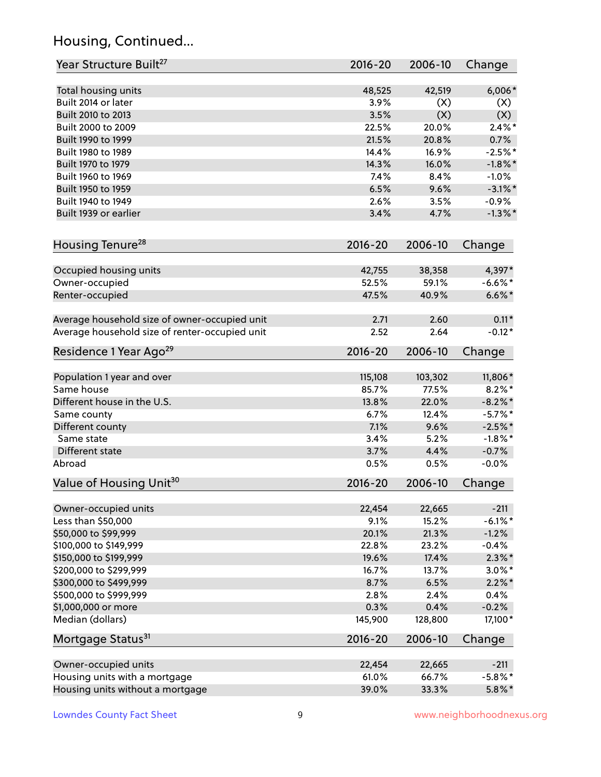## Housing, Continued...

| Year Structure Built <sup>27</sup>             | 2016-20     | 2006-10 | Change     |
|------------------------------------------------|-------------|---------|------------|
| Total housing units                            | 48,525      | 42,519  | $6,006*$   |
| Built 2014 or later                            | 3.9%        | (X)     | (X)        |
| Built 2010 to 2013                             | 3.5%        | (X)     | (X)        |
| Built 2000 to 2009                             | 22.5%       | 20.0%   | $2.4\%$ *  |
| Built 1990 to 1999                             | 21.5%       | 20.8%   | 0.7%       |
| Built 1980 to 1989                             | 14.4%       | 16.9%   | $-2.5%$ *  |
| Built 1970 to 1979                             | 14.3%       | 16.0%   | $-1.8\%$ * |
| Built 1960 to 1969                             | 7.4%        | 8.4%    | $-1.0%$    |
| Built 1950 to 1959                             | 6.5%        | 9.6%    | $-3.1\%$ * |
| Built 1940 to 1949                             | 2.6%        | 3.5%    | $-0.9%$    |
| Built 1939 or earlier                          | 3.4%        | 4.7%    | $-1.3\%$ * |
| Housing Tenure <sup>28</sup>                   | $2016 - 20$ | 2006-10 | Change     |
| Occupied housing units                         | 42,755      | 38,358  | 4,397*     |
| Owner-occupied                                 | 52.5%       | 59.1%   | $-6.6\%$ * |
| Renter-occupied                                | 47.5%       | 40.9%   | $6.6\%$ *  |
| Average household size of owner-occupied unit  | 2.71        | 2.60    | $0.11*$    |
| Average household size of renter-occupied unit | 2.52        | 2.64    | $-0.12*$   |
| Residence 1 Year Ago <sup>29</sup>             | 2016-20     | 2006-10 | Change     |
| Population 1 year and over                     | 115,108     | 103,302 | 11,806*    |
| Same house                                     | 85.7%       | 77.5%   | $8.2\%$ *  |
| Different house in the U.S.                    | 13.8%       | 22.0%   | $-8.2\%$ * |
| Same county                                    | 6.7%        | 12.4%   | $-5.7%$ *  |
| Different county                               | 7.1%        | 9.6%    | $-2.5%$ *  |
| Same state                                     | 3.4%        | 5.2%    | $-1.8\%$ * |
| Different state                                | 3.7%        | 4.4%    | $-0.7%$    |
| Abroad                                         | 0.5%        | 0.5%    | $-0.0%$    |
| Value of Housing Unit <sup>30</sup>            | $2016 - 20$ | 2006-10 | Change     |
| Owner-occupied units                           | 22,454      | 22,665  | $-211$     |
| Less than \$50,000                             | 9.1%        | 15.2%   | $-6.1\%$ * |
| \$50,000 to \$99,999                           | 20.1%       | 21.3%   | $-1.2%$    |
| \$100,000 to \$149,999                         | 22.8%       | 23.2%   | $-0.4%$    |
| \$150,000 to \$199,999                         | 19.6%       | 17.4%   | $2.3\%$ *  |
| \$200,000 to \$299,999                         | 16.7%       | 13.7%   | $3.0\%$ *  |
| \$300,000 to \$499,999                         | 8.7%        | 6.5%    | $2.2\%$ *  |
| \$500,000 to \$999,999                         | 2.8%        | 2.4%    | 0.4%       |
| \$1,000,000 or more                            | 0.3%        | 0.4%    | $-0.2%$    |
| Median (dollars)                               | 145,900     | 128,800 | 17,100*    |
| Mortgage Status <sup>31</sup>                  | $2016 - 20$ | 2006-10 | Change     |
| Owner-occupied units                           | 22,454      | 22,665  | $-211$     |
| Housing units with a mortgage                  | 61.0%       | 66.7%   | $-5.8\%$ * |
| Housing units without a mortgage               | 39.0%       | 33.3%   | $5.8\%$ *  |
|                                                |             |         |            |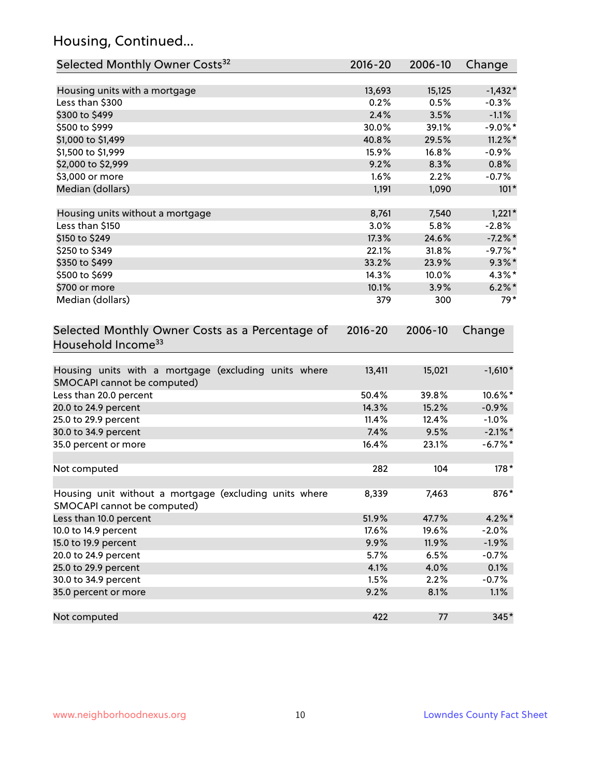## Housing, Continued...

| Selected Monthly Owner Costs <sup>32</sup>                                            | $2016 - 20$ | 2006-10 | Change     |
|---------------------------------------------------------------------------------------|-------------|---------|------------|
| Housing units with a mortgage                                                         | 13,693      | 15,125  | $-1,432*$  |
| Less than \$300                                                                       | 0.2%        | 0.5%    | $-0.3%$    |
| \$300 to \$499                                                                        | 2.4%        | 3.5%    | $-1.1%$    |
| \$500 to \$999                                                                        | 30.0%       | 39.1%   | $-9.0\%$ * |
| \$1,000 to \$1,499                                                                    | 40.8%       | 29.5%   | $11.2\%$ * |
| \$1,500 to \$1,999                                                                    | 15.9%       | 16.8%   | $-0.9%$    |
| \$2,000 to \$2,999                                                                    | 9.2%        | 8.3%    | 0.8%       |
| \$3,000 or more                                                                       | 1.6%        | 2.2%    | $-0.7%$    |
| Median (dollars)                                                                      | 1,191       | 1,090   | $101*$     |
| Housing units without a mortgage                                                      | 8,761       | 7,540   | $1,221*$   |
| Less than \$150                                                                       | 3.0%        | 5.8%    | $-2.8%$    |
| \$150 to \$249                                                                        | 17.3%       | 24.6%   | $-7.2\%$ * |
| \$250 to \$349                                                                        | 22.1%       | 31.8%   | $-9.7%$ *  |
| \$350 to \$499                                                                        | 33.2%       | 23.9%   | $9.3\%$ *  |
| \$500 to \$699                                                                        | 14.3%       | 10.0%   | 4.3%*      |
| \$700 or more                                                                         | 10.1%       | 3.9%    | $6.2\%$ *  |
| Median (dollars)                                                                      | 379         | 300     | $79*$      |
| Selected Monthly Owner Costs as a Percentage of<br>Household Income <sup>33</sup>     | $2016 - 20$ | 2006-10 | Change     |
| Housing units with a mortgage (excluding units where<br>SMOCAPI cannot be computed)   | 13,411      | 15,021  | $-1,610*$  |
| Less than 20.0 percent                                                                | 50.4%       | 39.8%   | 10.6%*     |
| 20.0 to 24.9 percent                                                                  | 14.3%       | 15.2%   | $-0.9%$    |
| 25.0 to 29.9 percent                                                                  | 11.4%       | 12.4%   | $-1.0%$    |
| 30.0 to 34.9 percent                                                                  | 7.4%        | 9.5%    | $-2.1\%$ * |
| 35.0 percent or more                                                                  | 16.4%       | 23.1%   | $-6.7\%$ * |
| Not computed                                                                          | 282         | 104     | $178*$     |
| Housing unit without a mortgage (excluding units where<br>SMOCAPI cannot be computed) | 8,339       | 7,463   | 876*       |
| Less than 10.0 percent                                                                | 51.9%       | 47.7%   | $4.2\%$ *  |
| 10.0 to 14.9 percent                                                                  | 17.6%       | 19.6%   | $-2.0%$    |
| 15.0 to 19.9 percent                                                                  | 9.9%        | 11.9%   | $-1.9%$    |
| 20.0 to 24.9 percent                                                                  | 5.7%        | 6.5%    | $-0.7%$    |
| 25.0 to 29.9 percent                                                                  | 4.1%        | 4.0%    | 0.1%       |
| 30.0 to 34.9 percent                                                                  | 1.5%        | 2.2%    | $-0.7%$    |
| 35.0 percent or more                                                                  | 9.2%        | 8.1%    | 1.1%       |
| Not computed                                                                          | 422         | 77      | 345*       |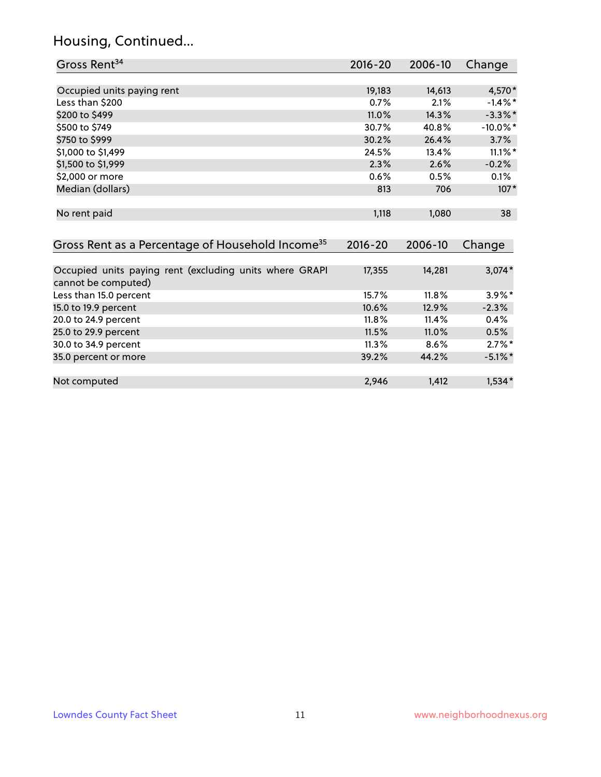## Housing, Continued...

| Gross Rent <sup>34</sup>                                                       | $2016 - 20$          | 2006-10          | Change      |
|--------------------------------------------------------------------------------|----------------------|------------------|-------------|
|                                                                                |                      |                  |             |
| Occupied units paying rent                                                     | 19,183               | 14,613           | 4,570*      |
| Less than \$200                                                                | 0.7%                 | 2.1%             | $-1.4\%$ *  |
| \$200 to \$499                                                                 | 11.0%                | 14.3%            | $-3.3\%$ *  |
| \$500 to \$749                                                                 | 30.7%                | 40.8%            | $-10.0\%$ * |
| \$750 to \$999                                                                 | 30.2%                | 26.4%            | 3.7%        |
| \$1,000 to \$1,499                                                             | 24.5%                | 13.4%            | $11.1\%$ *  |
| \$1,500 to \$1,999                                                             | 2.3%                 | 2.6%             | $-0.2%$     |
| \$2,000 or more                                                                | 0.6%                 | 0.5%             | 0.1%        |
| Median (dollars)                                                               | 813                  | 706              | $107*$      |
| No rent paid<br>Gross Rent as a Percentage of Household Income <sup>35</sup>   | 1,118<br>$2016 - 20$ | 1,080<br>2006-10 | 38          |
|                                                                                |                      |                  | Change      |
| Occupied units paying rent (excluding units where GRAPI<br>cannot be computed) | 17,355               | 14,281           | $3,074*$    |
| Less than 15.0 percent                                                         | 15.7%                | 11.8%            | $3.9\%$ *   |
| 15.0 to 19.9 percent                                                           | 10.6%                | 12.9%            | $-2.3%$     |
| 20.0 to 24.9 percent                                                           | 11.8%                | 11.4%            | 0.4%        |
| 25.0 to 29.9 percent                                                           | 11.5%                | 11.0%            | 0.5%        |
| 30.0 to 34.9 percent                                                           | 11.3%                | 8.6%             | $2.7\%$ *   |
| 35.0 percent or more                                                           | 39.2%                | 44.2%            | $-5.1\%$ *  |
| Not computed                                                                   | 2,946                | 1,412            | $1,534*$    |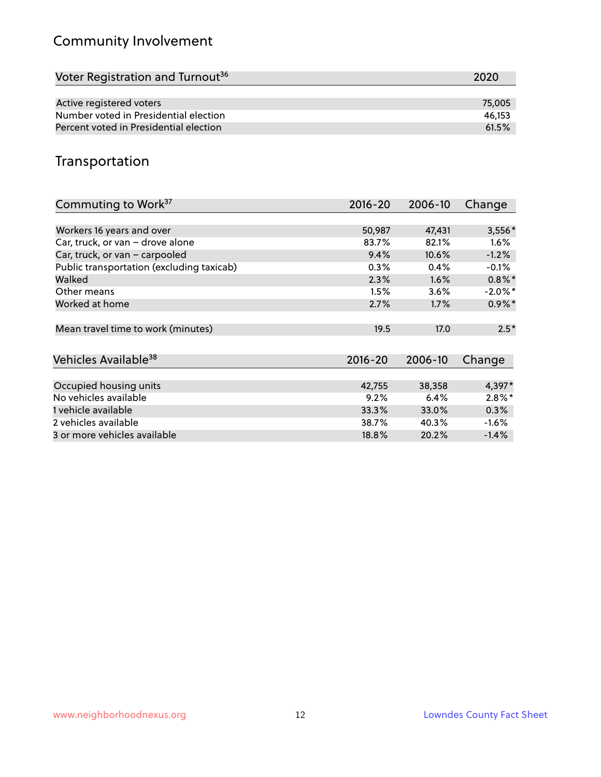## Community Involvement

| Voter Registration and Turnout <sup>36</sup> | 2020   |
|----------------------------------------------|--------|
|                                              |        |
| Active registered voters                     | 75,005 |
| Number voted in Presidential election        | 46.153 |
| Percent voted in Presidential election       | 61.5%  |

#### Transportation

| Commuting to Work <sup>37</sup>           | $2016 - 20$ | 2006-10 | Change     |
|-------------------------------------------|-------------|---------|------------|
|                                           |             |         |            |
| Workers 16 years and over                 | 50,987      | 47,431  | 3,556*     |
| Car, truck, or van - drove alone          | 83.7%       | 82.1%   | $1.6\%$    |
| Car, truck, or van - carpooled            | 9.4%        | 10.6%   | $-1.2%$    |
| Public transportation (excluding taxicab) | 0.3%        | 0.4%    | $-0.1%$    |
| Walked                                    | 2.3%        | 1.6%    | $0.8\%$ *  |
| Other means                               | 1.5%        | 3.6%    | $-2.0\%$ * |
| Worked at home                            | 2.7%        | 1.7%    | $0.9\%$ *  |
|                                           |             |         |            |
| Mean travel time to work (minutes)        | 19.5        | 17.0    | $2.5*$     |
|                                           |             |         |            |
| Vehicles Available <sup>38</sup>          | $2016 - 20$ | 2006-10 | Change     |
|                                           |             |         |            |
| Occupied housing units                    | 42,755      | 38,358  | 4,397*     |
| No vehicles available                     | 9.2%        | 6.4%    | $2.8\%*$   |
| 1 vehicle available                       | 33.3%       | 33.0%   | 0.3%       |
| 2 vehicles available                      | 38.7%       | 40.3%   | $-1.6%$    |
| 3 or more vehicles available              | 18.8%       | 20.2%   | $-1.4%$    |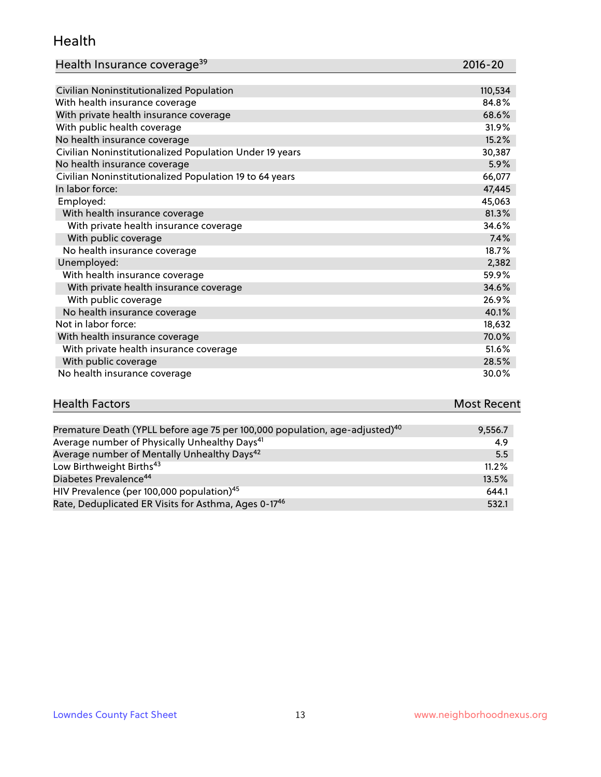#### Health

| Health Insurance coverage <sup>39</sup> | 2016-20 |
|-----------------------------------------|---------|
|-----------------------------------------|---------|

| Civilian Noninstitutionalized Population                | 110,534 |
|---------------------------------------------------------|---------|
| With health insurance coverage                          | 84.8%   |
| With private health insurance coverage                  | 68.6%   |
| With public health coverage                             | 31.9%   |
| No health insurance coverage                            | 15.2%   |
| Civilian Noninstitutionalized Population Under 19 years | 30,387  |
| No health insurance coverage                            | 5.9%    |
| Civilian Noninstitutionalized Population 19 to 64 years | 66,077  |
| In labor force:                                         | 47,445  |
| Employed:                                               | 45,063  |
| With health insurance coverage                          | 81.3%   |
| With private health insurance coverage                  | 34.6%   |
| With public coverage                                    | 7.4%    |
| No health insurance coverage                            | 18.7%   |
| Unemployed:                                             | 2,382   |
| With health insurance coverage                          | 59.9%   |
| With private health insurance coverage                  | 34.6%   |
| With public coverage                                    | 26.9%   |
| No health insurance coverage                            | 40.1%   |
| Not in labor force:                                     | 18,632  |
| With health insurance coverage                          | 70.0%   |
| With private health insurance coverage                  | 51.6%   |
| With public coverage                                    | 28.5%   |
| No health insurance coverage                            | 30.0%   |

# **Health Factors Most Recent** And The Control of the Control of The Control of The Control of The Control of The Control of The Control of The Control of The Control of The Control of The Control of The Control of The Contr

| Premature Death (YPLL before age 75 per 100,000 population, age-adjusted) <sup>40</sup> | 9,556.7 |
|-----------------------------------------------------------------------------------------|---------|
| Average number of Physically Unhealthy Days <sup>41</sup>                               | 4.9     |
| Average number of Mentally Unhealthy Days <sup>42</sup>                                 | 5.5     |
| Low Birthweight Births <sup>43</sup>                                                    | 11.2%   |
| Diabetes Prevalence <sup>44</sup>                                                       | 13.5%   |
| HIV Prevalence (per 100,000 population) <sup>45</sup>                                   | 644.1   |
| Rate, Deduplicated ER Visits for Asthma, Ages 0-17 <sup>46</sup>                        | 532.1   |